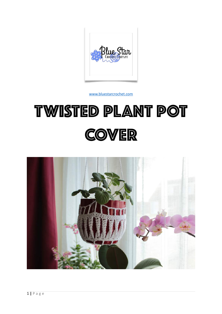

[www.bluestarcrochet.com](http://www.bluestarcrochet.com)

# TWISTED PLANT POT **COVER**

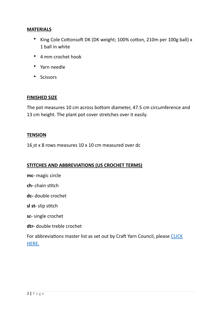## **MATERIALS**

- King Cole Cottonsoft DK (DK weight; 100% cotton, 210m per 100g ball) x 1 ball in white
- 4 mm crochet hook
- Yarn needle
- Scissors

### **FINISHED SIZE**

The pot measures 10 cm across bottom diameter, 47.5 cm circumference and 13 cm height. The plant pot cover stretches over it easily.

### **TENSION**

16 st x 8 rows measures 10 x 10 cm measured over dc

## **STITCHES AND ABBREVIATIONS (US CROCHET TERMS)**

**mc-** magic circle

**ch-** chain stitch

**dc-** double crochet

**sl st-** slip stitch

**sc-** single crochet

**dtr-** double treble crochet

For abbreviations master list as set out by Craft Yarn Council, please CLICK [HERE.](https://www.craftyarncouncil.com/standards/crochet-abbreviations)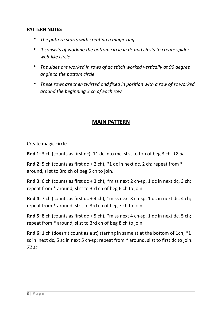## **PATTERN NOTES**

- *The pattern starts with creating a magic ring.*
- *It consists of working the bottom circle in dc and ch sts to create spider web-like circle*
- *The sides are worked in rows of dc stitch worked vertically at 90 degree angle to the bottom circle*
- *These rows are then twisted and fixed in position with a row of sc worked around the beginning 3 ch of each row.*

# **MAIN PATTERN**

Create magic circle.

**Rnd 1:** 3 ch (counts as first dc), 11 dc into mc, sl st to top of beg 3 ch. *12 dc*

**Rnd 2:** 5 ch (counts as first dc + 2 ch), \*1 dc in next dc, 2 ch; repeat from \* around, sl st to 3rd ch of beg 5 ch to join.

**Rnd 3:** 6 ch (counts as first dc + 3 ch), \*miss next 2 ch-sp, 1 dc in next dc, 3 ch; repeat from \* around, sl st to 3rd ch of beg 6 ch to join.

**Rnd 4:** 7 ch (counts as first dc + 4 ch), \*miss next 3 ch-sp, 1 dc in next dc, 4 ch; repeat from \* around, sl st to 3rd ch of beg 7 ch to join.

**Rnd 5:** 8 ch (counts as first dc + 5 ch), \*miss next 4 ch-sp, 1 dc in next dc, 5 ch; repeat from \* around, sl st to 3rd ch of beg 8 ch to join.

**Rnd 6:** 1 ch (doesn't count as a st) starting in same st at the bottom of 1ch, \*1 sc in next dc, 5 sc in next 5 ch-sp; repeat from \* around, sl st to first dc to join. *72 sc*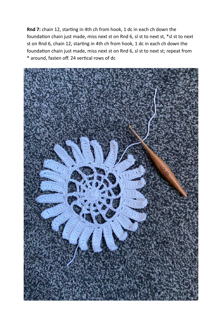**Rnd 7:** chain 12, starting in 4th ch from hook, 1 dc in each ch down the foundation chain just made, miss next st on Rnd 6, sl st to next st, \*sl st to next st on Rnd 6, chain 12, starting in 4th ch from hook, 1 dc in each ch down the foundation chain just made, miss next st on Rnd 6, sl st to next st; repeat from \* around, fasten off. 24 vertical rows of dc

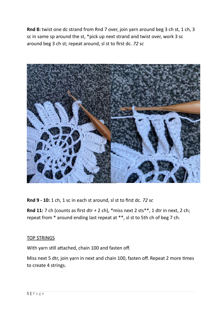**Rnd 8:** twist one dc strand from Rnd 7 over, join yarn around beg 3 ch st, 1 ch, 3 sc in same sp around the st, \*pick up next strand and twist over, work 3 sc around beg 3 ch st; repeat around, sl st to first dc. *72 sc*



**Rnd 9 - 10:** 1 ch, 1 sc in each st around, sl st to first dc. *72 sc*

**Rnd 11:** 7 ch (counts as first dtr + 2 ch), \*miss next 2 sts\*\*, 1 dtr in next, 2 ch; repeat from \* around ending last repeat at \*\*, sl st to 5th ch of beg 7 ch.

# TOP STRINGS

With yarn still attached, chain 100 and fasten off.

Miss next 5 dtr, join yarn in next and chain 100, fasten off. Repeat 2 more times to create 4 strings.